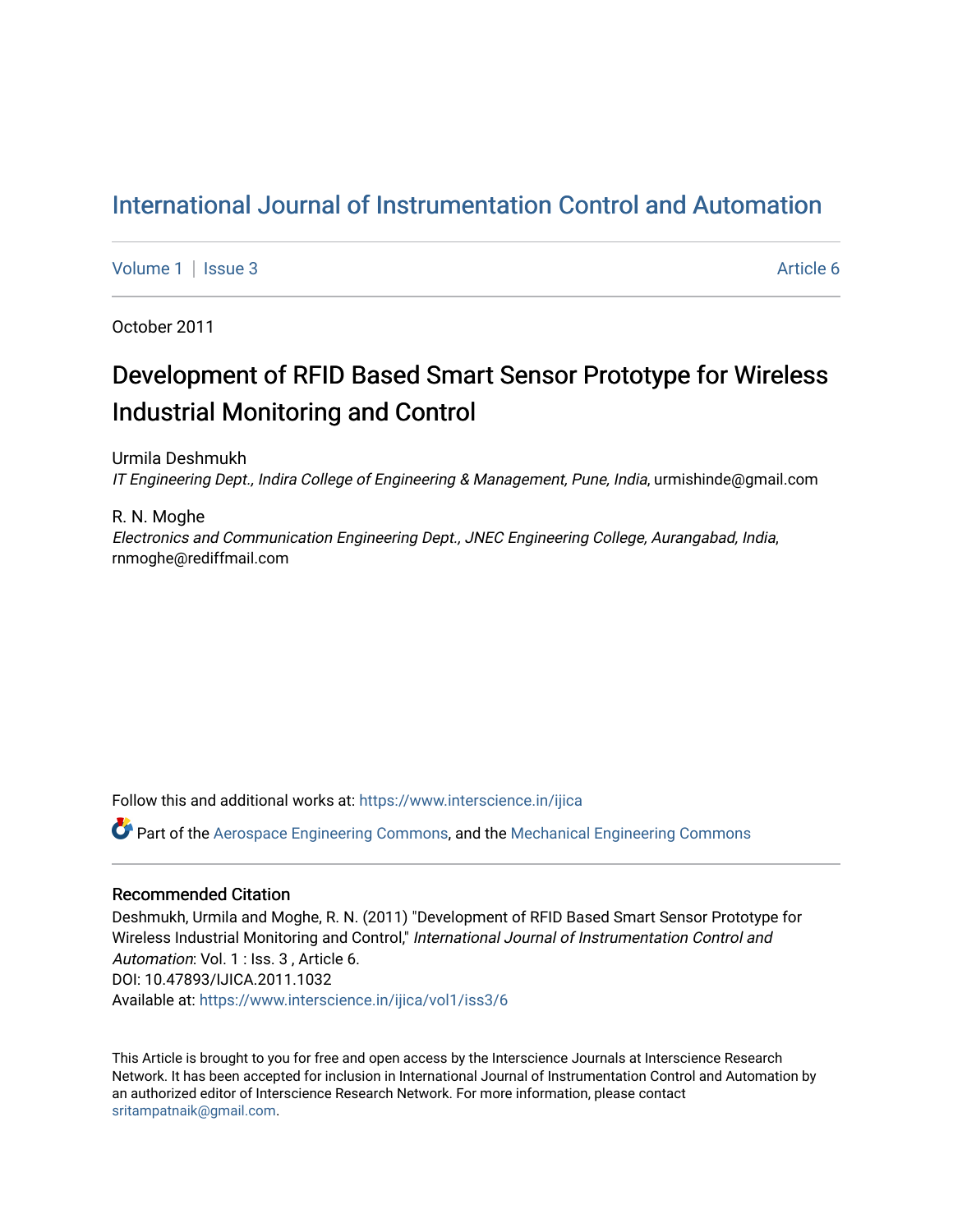## [International Journal of Instrumentation Control and Automation](https://www.interscience.in/ijica)

[Volume 1](https://www.interscience.in/ijica/vol1) | [Issue 3](https://www.interscience.in/ijica/vol1/iss3) Article 6

October 2011

# Development of RFID Based Smart Sensor Prototype for Wireless Industrial Monitoring and Control

Urmila Deshmukh IT Engineering Dept., Indira College of Engineering & Management, Pune, India, urmishinde@gmail.com

R. N. Moghe Electronics and Communication Engineering Dept., JNEC Engineering College, Aurangabad, India, rnmoghe@rediffmail.com

Follow this and additional works at: [https://www.interscience.in/ijica](https://www.interscience.in/ijica?utm_source=www.interscience.in%2Fijica%2Fvol1%2Fiss3%2F6&utm_medium=PDF&utm_campaign=PDFCoverPages) 

Part of the [Aerospace Engineering Commons](http://network.bepress.com/hgg/discipline/218?utm_source=www.interscience.in%2Fijica%2Fvol1%2Fiss3%2F6&utm_medium=PDF&utm_campaign=PDFCoverPages), and the [Mechanical Engineering Commons](http://network.bepress.com/hgg/discipline/293?utm_source=www.interscience.in%2Fijica%2Fvol1%2Fiss3%2F6&utm_medium=PDF&utm_campaign=PDFCoverPages) 

## Recommended Citation

Deshmukh, Urmila and Moghe, R. N. (2011) "Development of RFID Based Smart Sensor Prototype for Wireless Industrial Monitoring and Control," International Journal of Instrumentation Control and Automation: Vol. 1 : Iss. 3 , Article 6. DOI: 10.47893/IJICA.2011.1032 Available at: [https://www.interscience.in/ijica/vol1/iss3/6](https://www.interscience.in/ijica/vol1/iss3/6?utm_source=www.interscience.in%2Fijica%2Fvol1%2Fiss3%2F6&utm_medium=PDF&utm_campaign=PDFCoverPages) 

This Article is brought to you for free and open access by the Interscience Journals at Interscience Research Network. It has been accepted for inclusion in International Journal of Instrumentation Control and Automation by an authorized editor of Interscience Research Network. For more information, please contact [sritampatnaik@gmail.com](mailto:sritampatnaik@gmail.com).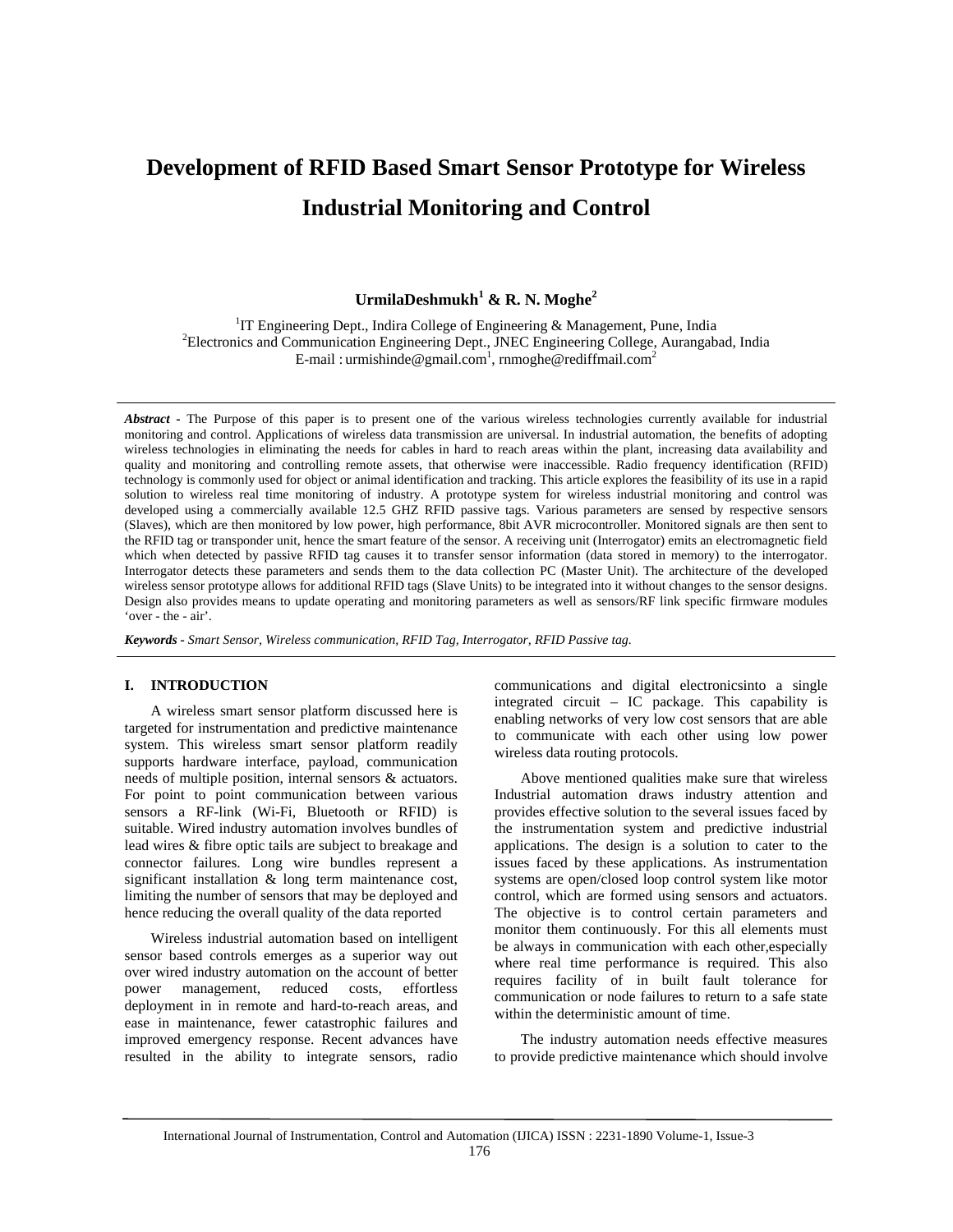# **Development of RFID Based Smart Sensor Prototype for Wireless Industrial Monitoring and Control**

## **UrmilaDeshmukh<sup>1</sup> & R. N. Moghe<sup>2</sup>**

<sup>1</sup>IT Engineering Dept., Indira College of Engineering & Management, Pune, India<br><sup>2</sup>Electronics and Communication Engineering Dept. INEC Engineering College, Aurangab <sup>2</sup>Electronics and Communication Engineering Dept., JNEC Engineering College, Aurangabad, India E-mail: urmishinde@gmail.com<sup>1</sup>, rnmoghe@rediffmail.com<sup>2</sup>

*Abstract* **-** The Purpose of this paper is to present one of the various wireless technologies currently available for industrial monitoring and control. Applications of wireless data transmission are universal. In industrial automation, the benefits of adopting wireless technologies in eliminating the needs for cables in hard to reach areas within the plant, increasing data availability and quality and monitoring and controlling remote assets, that otherwise were inaccessible. Radio frequency identification (RFID) technology is commonly used for object or animal identification and tracking. This article explores the feasibility of its use in a rapid solution to wireless real time monitoring of industry. A prototype system for wireless industrial monitoring and control was developed using a commercially available 12.5 GHZ RFID passive tags. Various parameters are sensed by respective sensors (Slaves), which are then monitored by low power, high performance, 8bit AVR microcontroller. Monitored signals are then sent to the RFID tag or transponder unit, hence the smart feature of the sensor. A receiving unit (Interrogator) emits an electromagnetic field which when detected by passive RFID tag causes it to transfer sensor information (data stored in memory) to the interrogator. Interrogator detects these parameters and sends them to the data collection PC (Master Unit). The architecture of the developed wireless sensor prototype allows for additional RFID tags (Slave Units) to be integrated into it without changes to the sensor designs. Design also provides means to update operating and monitoring parameters as well as sensors/RF link specific firmware modules 'over - the - air'.

*Keywords - Smart Sensor, Wireless communication, RFID Tag, Interrogator, RFID Passive tag.*

## **I. INTRODUCTION**

 A wireless smart sensor platform discussed here is targeted for instrumentation and predictive maintenance system. This wireless smart sensor platform readily supports hardware interface, payload, communication needs of multiple position, internal sensors & actuators. For point to point communication between various sensors a RF-link (Wi-Fi, Bluetooth or RFID) is suitable. Wired industry automation involves bundles of lead wires & fibre optic tails are subject to breakage and connector failures. Long wire bundles represent a significant installation & long term maintenance cost, limiting the number of sensors that may be deployed and hence reducing the overall quality of the data reported

 Wireless industrial automation based on intelligent sensor based controls emerges as a superior way out over wired industry automation on the account of better power management, reduced costs, effortless deployment in in remote and hard-to-reach areas, and ease in maintenance, fewer catastrophic failures and improved emergency response. Recent advances have resulted in the ability to integrate sensors, radio communications and digital electronicsinto a single integrated circuit – IC package. This capability is enabling networks of very low cost sensors that are able to communicate with each other using low power wireless data routing protocols.

 Above mentioned qualities make sure that wireless Industrial automation draws industry attention and provides effective solution to the several issues faced by the instrumentation system and predictive industrial applications. The design is a solution to cater to the issues faced by these applications. As instrumentation systems are open/closed loop control system like motor control, which are formed using sensors and actuators. The objective is to control certain parameters and monitor them continuously. For this all elements must be always in communication with each other,especially where real time performance is required. This also requires facility of in built fault tolerance for communication or node failures to return to a safe state within the deterministic amount of time.

 The industry automation needs effective measures to provide predictive maintenance which should involve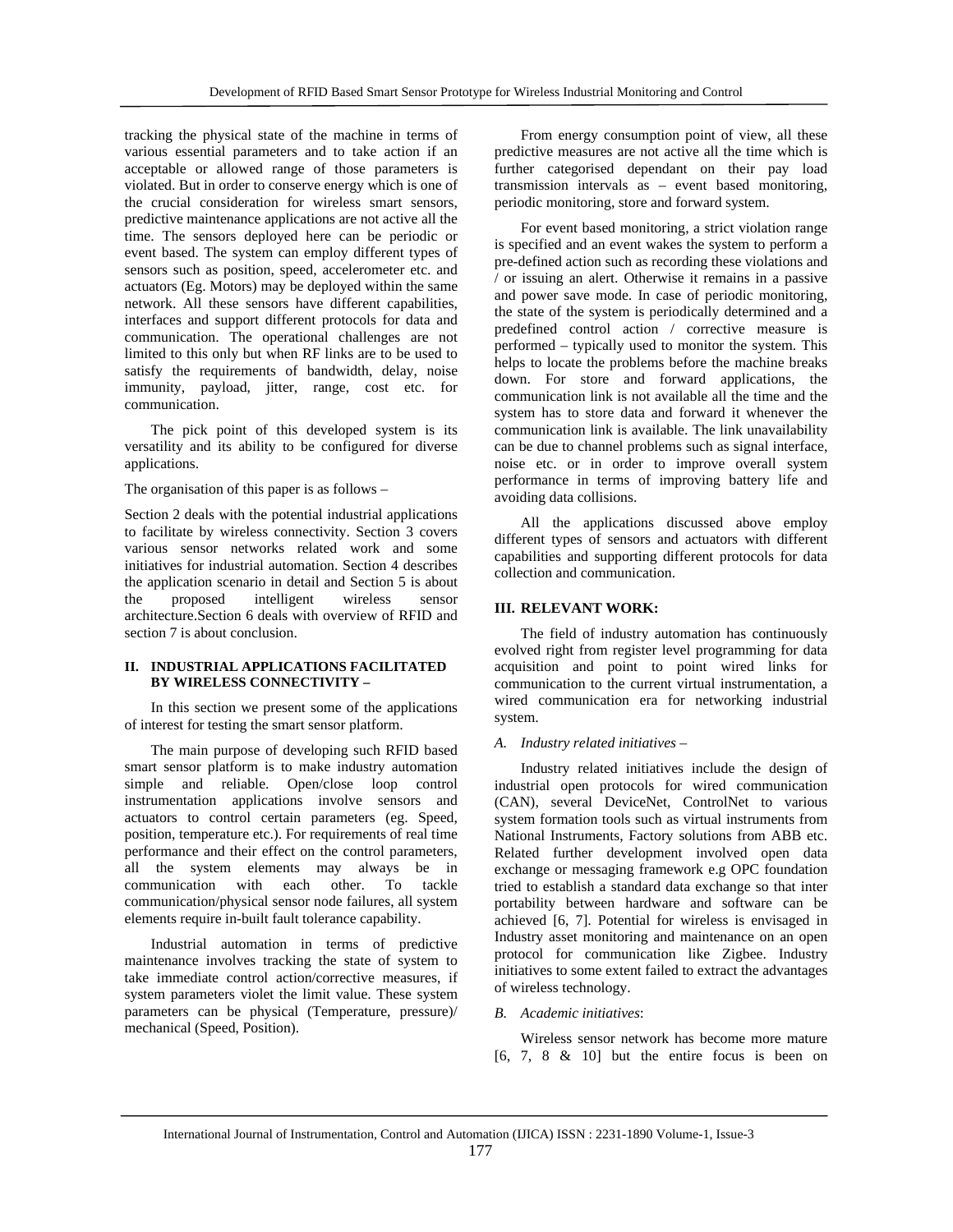tracking the physical state of the machine in terms of various essential parameters and to take action if an acceptable or allowed range of those parameters is violated. But in order to conserve energy which is one of the crucial consideration for wireless smart sensors, predictive maintenance applications are not active all the time. The sensors deployed here can be periodic or event based. The system can employ different types of sensors such as position, speed, accelerometer etc. and actuators (Eg. Motors) may be deployed within the same network. All these sensors have different capabilities, interfaces and support different protocols for data and communication. The operational challenges are not limited to this only but when RF links are to be used to satisfy the requirements of bandwidth, delay, noise immunity, payload, jitter, range, cost etc. for communication.

 The pick point of this developed system is its versatility and its ability to be configured for diverse applications.

The organisation of this paper is as follows –

Section 2 deals with the potential industrial applications to facilitate by wireless connectivity. Section 3 covers various sensor networks related work and some initiatives for industrial automation. Section 4 describes the application scenario in detail and Section 5 is about the proposed intelligent wireless sensor architecture.Section 6 deals with overview of RFID and section 7 is about conclusion.

#### **II. INDUSTRIAL APPLICATIONS FACILITATED BY WIRELESS CONNECTIVITY –**

 In this section we present some of the applications of interest for testing the smart sensor platform.

 The main purpose of developing such RFID based smart sensor platform is to make industry automation simple and reliable. Open/close loop control instrumentation applications involve sensors and actuators to control certain parameters (eg. Speed, position, temperature etc.). For requirements of real time performance and their effect on the control parameters, all the system elements may always be in communication with each other. To tackle communication/physical sensor node failures, all system elements require in-built fault tolerance capability.

 Industrial automation in terms of predictive maintenance involves tracking the state of system to take immediate control action/corrective measures, if system parameters violet the limit value. These system parameters can be physical (Temperature, pressure)/ mechanical (Speed, Position).

 From energy consumption point of view, all these predictive measures are not active all the time which is further categorised dependant on their pay load transmission intervals as – event based monitoring, periodic monitoring, store and forward system.

 For event based monitoring, a strict violation range is specified and an event wakes the system to perform a pre-defined action such as recording these violations and / or issuing an alert. Otherwise it remains in a passive and power save mode. In case of periodic monitoring, the state of the system is periodically determined and a predefined control action / corrective measure is performed – typically used to monitor the system. This helps to locate the problems before the machine breaks down. For store and forward applications, the communication link is not available all the time and the system has to store data and forward it whenever the communication link is available. The link unavailability can be due to channel problems such as signal interface, noise etc. or in order to improve overall system performance in terms of improving battery life and avoiding data collisions.

 All the applications discussed above employ different types of sensors and actuators with different capabilities and supporting different protocols for data collection and communication.

## **III. RELEVANT WORK:**

 The field of industry automation has continuously evolved right from register level programming for data acquisition and point to point wired links for communication to the current virtual instrumentation, a wired communication era for networking industrial system.

## *A. Industry related initiatives* –

 Industry related initiatives include the design of industrial open protocols for wired communication (CAN), several DeviceNet, ControlNet to various system formation tools such as virtual instruments from National Instruments, Factory solutions from ABB etc. Related further development involved open data exchange or messaging framework e.g OPC foundation tried to establish a standard data exchange so that inter portability between hardware and software can be achieved [6, 7]. Potential for wireless is envisaged in Industry asset monitoring and maintenance on an open protocol for communication like Zigbee. Industry initiatives to some extent failed to extract the advantages of wireless technology.

#### *B. Academic initiatives*:

 Wireless sensor network has become more mature  $[6, 7, 8 \& 10]$  but the entire focus is been on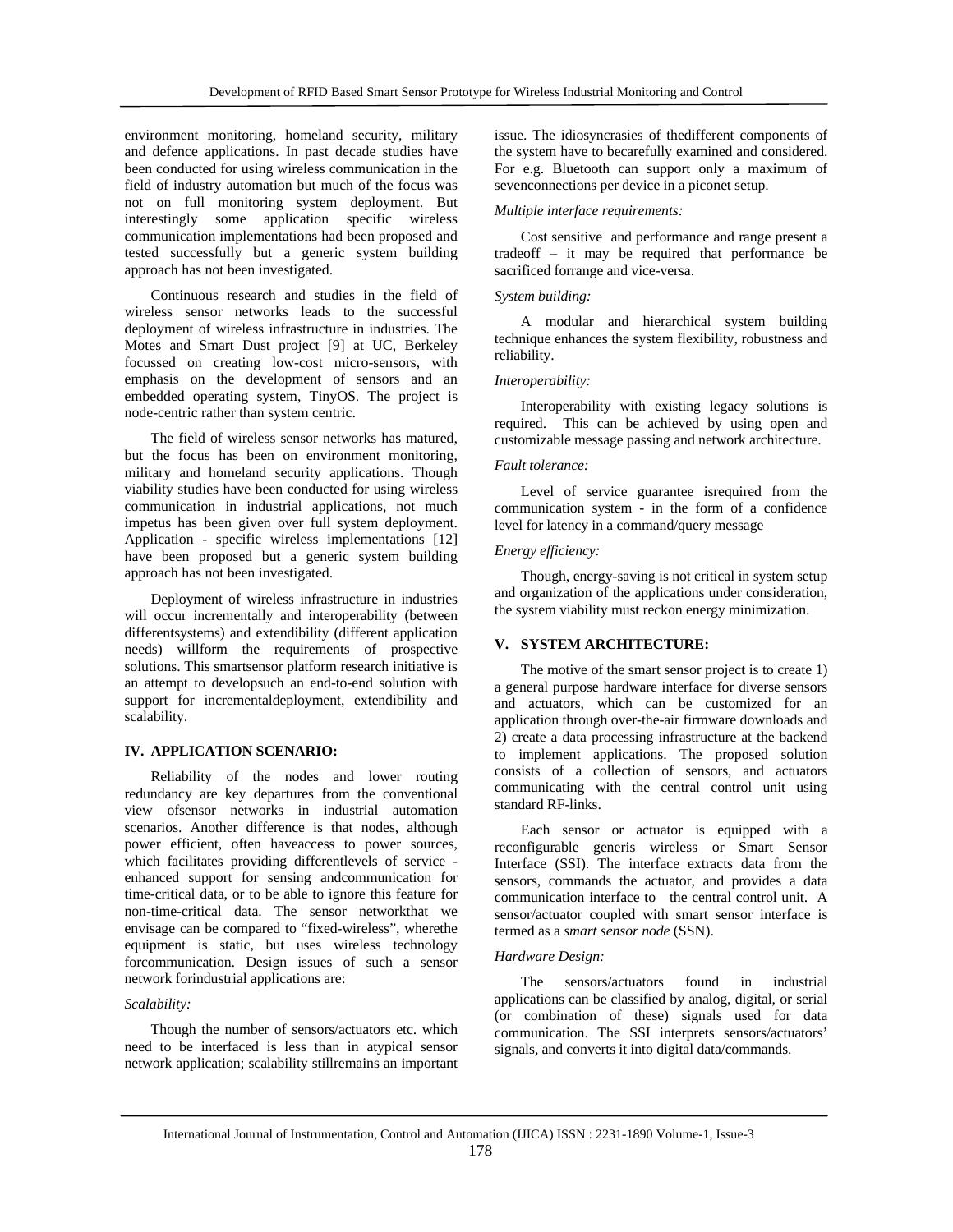environment monitoring, homeland security, military and defence applications. In past decade studies have been conducted for using wireless communication in the field of industry automation but much of the focus was not on full monitoring system deployment. But interestingly some application specific wireless communication implementations had been proposed and tested successfully but a generic system building approach has not been investigated.

 Continuous research and studies in the field of wireless sensor networks leads to the successful deployment of wireless infrastructure in industries. The Motes and Smart Dust project [9] at UC, Berkeley focussed on creating low-cost micro-sensors, with emphasis on the development of sensors and an embedded operating system, TinyOS. The project is node-centric rather than system centric.

 The field of wireless sensor networks has matured, but the focus has been on environment monitoring, military and homeland security applications. Though viability studies have been conducted for using wireless communication in industrial applications, not much impetus has been given over full system deployment. Application - specific wireless implementations [12] have been proposed but a generic system building approach has not been investigated.

 Deployment of wireless infrastructure in industries will occur incrementally and interoperability (between differentsystems) and extendibility (different application needs) willform the requirements of prospective solutions. This smartsensor platform research initiative is an attempt to developsuch an end-to-end solution with support for incrementaldeployment, extendibility and scalability.

#### **IV. APPLICATION SCENARIO:**

 Reliability of the nodes and lower routing redundancy are key departures from the conventional view ofsensor networks in industrial automation scenarios. Another difference is that nodes, although power efficient, often haveaccess to power sources, which facilitates providing differentlevels of service enhanced support for sensing andcommunication for time-critical data, or to be able to ignore this feature for non-time-critical data. The sensor networkthat we envisage can be compared to "fixed-wireless", wherethe equipment is static, but uses wireless technology forcommunication. Design issues of such a sensor network forindustrial applications are:

#### *Scalability:*

 Though the number of sensors/actuators etc. which need to be interfaced is less than in atypical sensor network application; scalability stillremains an important issue. The idiosyncrasies of thedifferent components of the system have to becarefully examined and considered. For e.g. Bluetooth can support only a maximum of sevenconnections per device in a piconet setup.

#### *Multiple interface requirements:*

 Cost sensitive and performance and range present a tradeoff – it may be required that performance be sacrificed forrange and vice-versa.

#### *System building:*

 A modular and hierarchical system building technique enhances the system flexibility, robustness and reliability.

#### *Interoperability:*

 Interoperability with existing legacy solutions is required. This can be achieved by using open and customizable message passing and network architecture.

## *Fault tolerance:*

 Level of service guarantee isrequired from the communication system - in the form of a confidence level for latency in a command/query message

## *Energy efficiency:*

 Though, energy-saving is not critical in system setup and organization of the applications under consideration, the system viability must reckon energy minimization.

#### **V. SYSTEM ARCHITECTURE:**

 The motive of the smart sensor project is to create 1) a general purpose hardware interface for diverse sensors and actuators, which can be customized for an application through over-the-air firmware downloads and 2) create a data processing infrastructure at the backend to implement applications. The proposed solution consists of a collection of sensors, and actuators communicating with the central control unit using standard RF-links.

 Each sensor or actuator is equipped with a reconfigurable generis wireless or Smart Sensor Interface (SSI). The interface extracts data from the sensors, commands the actuator, and provides a data communication interface to the central control unit. A sensor/actuator coupled with smart sensor interface is termed as a *smart sensor node* (SSN).

#### *Hardware Design:*

 The sensors/actuators found in industrial applications can be classified by analog, digital, or serial (or combination of these) signals used for data communication. The SSI interprets sensors/actuators' signals, and converts it into digital data/commands.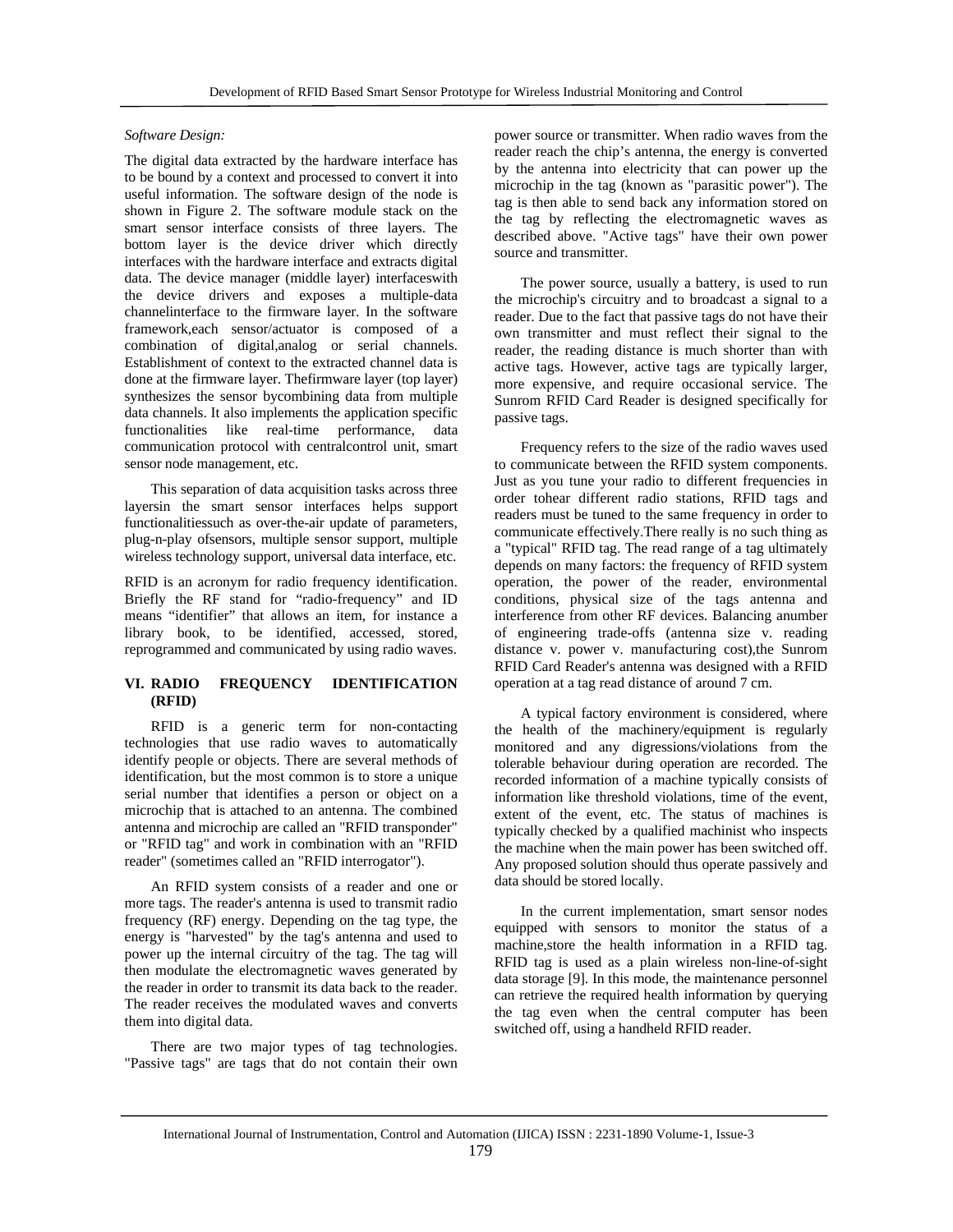## *Software Design:*

The digital data extracted by the hardware interface has to be bound by a context and processed to convert it into useful information. The software design of the node is shown in Figure 2. The software module stack on the smart sensor interface consists of three layers. The bottom layer is the device driver which directly interfaces with the hardware interface and extracts digital data. The device manager (middle layer) interfaceswith the device drivers and exposes a multiple-data channelinterface to the firmware layer. In the software framework,each sensor/actuator is composed of a combination of digital,analog or serial channels. Establishment of context to the extracted channel data is done at the firmware layer. Thefirmware layer (top layer) synthesizes the sensor bycombining data from multiple data channels. It also implements the application specific functionalities like real-time performance, data communication protocol with centralcontrol unit, smart sensor node management, etc.

 This separation of data acquisition tasks across three layersin the smart sensor interfaces helps support functionalitiessuch as over-the-air update of parameters, plug-n-play ofsensors, multiple sensor support, multiple wireless technology support, universal data interface, etc.

RFID is an acronym for radio frequency identification. Briefly the RF stand for "radio-frequency" and ID means "identifier" that allows an item, for instance a library book, to be identified, accessed, stored, reprogrammed and communicated by using radio waves.

## **VI. RADIO FREQUENCY IDENTIFICATION (RFID)**

 RFID is a generic term for non-contacting technologies that use radio waves to automatically identify people or objects. There are several methods of identification, but the most common is to store a unique serial number that identifies a person or object on a microchip that is attached to an antenna. The combined antenna and microchip are called an "RFID transponder" or "RFID tag" and work in combination with an "RFID reader" (sometimes called an "RFID interrogator").

 An RFID system consists of a reader and one or more tags. The reader's antenna is used to transmit radio frequency (RF) energy. Depending on the tag type, the energy is "harvested" by the tag's antenna and used to power up the internal circuitry of the tag. The tag will then modulate the electromagnetic waves generated by the reader in order to transmit its data back to the reader. The reader receives the modulated waves and converts them into digital data.

 There are two major types of tag technologies. "Passive tags" are tags that do not contain their own power source or transmitter. When radio waves from the reader reach the chip's antenna, the energy is converted by the antenna into electricity that can power up the microchip in the tag (known as "parasitic power"). The tag is then able to send back any information stored on the tag by reflecting the electromagnetic waves as described above. "Active tags" have their own power source and transmitter.

 The power source, usually a battery, is used to run the microchip's circuitry and to broadcast a signal to a reader. Due to the fact that passive tags do not have their own transmitter and must reflect their signal to the reader, the reading distance is much shorter than with active tags. However, active tags are typically larger, more expensive, and require occasional service. The Sunrom RFID Card Reader is designed specifically for passive tags.

 Frequency refers to the size of the radio waves used to communicate between the RFID system components. Just as you tune your radio to different frequencies in order tohear different radio stations, RFID tags and readers must be tuned to the same frequency in order to communicate effectively.There really is no such thing as a "typical" RFID tag. The read range of a tag ultimately depends on many factors: the frequency of RFID system operation, the power of the reader, environmental conditions, physical size of the tags antenna and interference from other RF devices. Balancing anumber of engineering trade-offs (antenna size v. reading distance v. power v. manufacturing cost),the Sunrom RFID Card Reader's antenna was designed with a RFID operation at a tag read distance of around 7 cm.

 A typical factory environment is considered, where the health of the machinery/equipment is regularly monitored and any digressions/violations from the tolerable behaviour during operation are recorded. The recorded information of a machine typically consists of information like threshold violations, time of the event, extent of the event, etc. The status of machines is typically checked by a qualified machinist who inspects the machine when the main power has been switched off. Any proposed solution should thus operate passively and data should be stored locally.

 In the current implementation, smart sensor nodes equipped with sensors to monitor the status of a machine,store the health information in a RFID tag. RFID tag is used as a plain wireless non-line-of-sight data storage [9]. In this mode, the maintenance personnel can retrieve the required health information by querying the tag even when the central computer has been switched off, using a handheld RFID reader.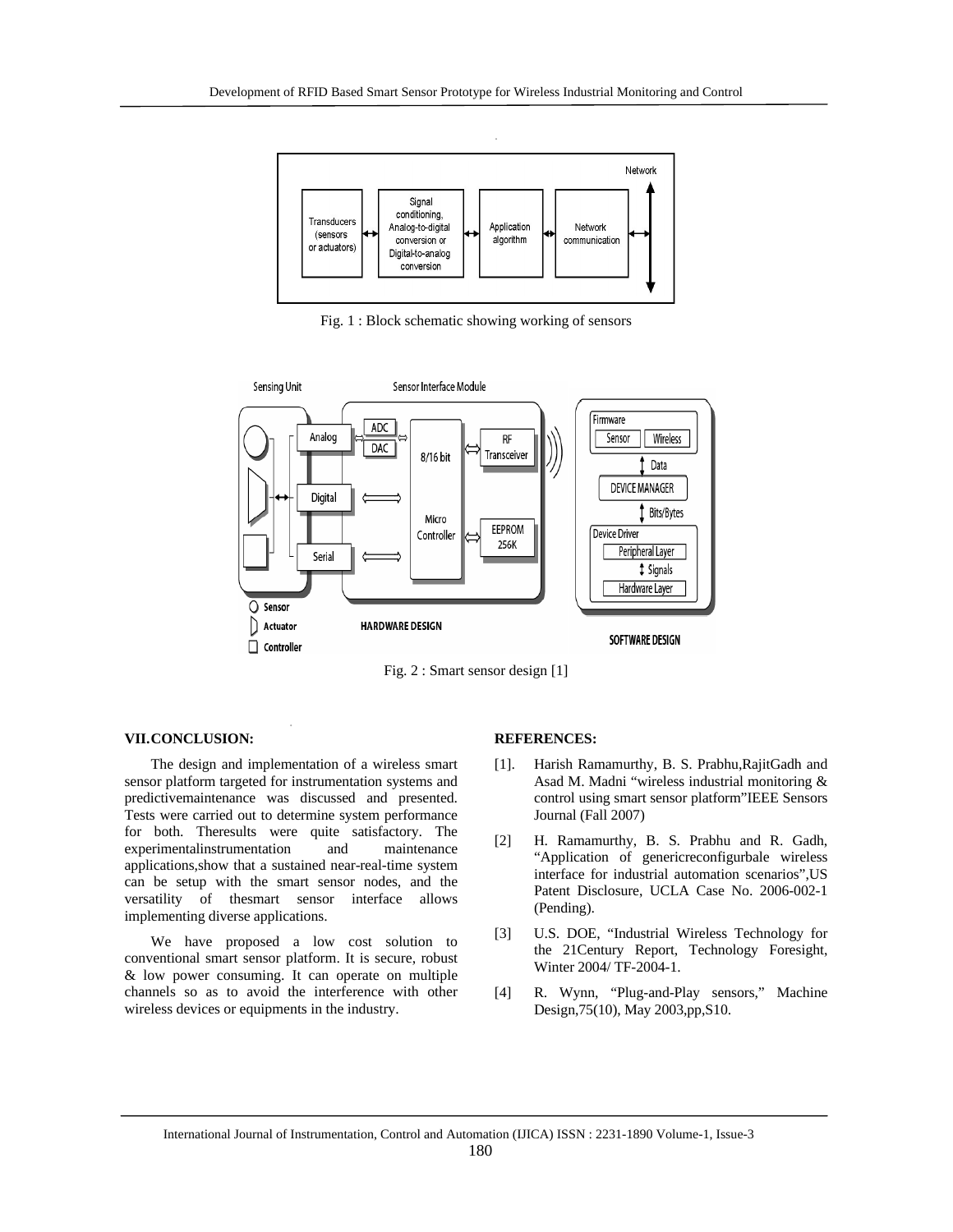

Fig. 1 : Block schematic showing working of sensors



Fig. 2 : Smart sensor design [1]

#### **VII.CONCLUSION:**

 The design and implementation of a wireless smart sensor platform targeted for instrumentation systems and predictivemaintenance was discussed and presented. Tests were carried out to determine system performance for both. Theresults were quite satisfactory. The experimentalinstrumentation and maintenance applications,show that a sustained near-real-time system can be setup with the smart sensor nodes, and the versatility of thesmart sensor interface allows implementing diverse applications.

.

 We have proposed a low cost solution to conventional smart sensor platform. It is secure, robust & low power consuming. It can operate on multiple channels so as to avoid the interference with other wireless devices or equipments in the industry.

## **REFERENCES:**

- [1]. Harish Ramamurthy, B. S. Prabhu,RajitGadh and Asad M. Madni "wireless industrial monitoring & control using smart sensor platform"IEEE Sensors Journal (Fall 2007)
- [2] H. Ramamurthy, B. S. Prabhu and R. Gadh, "Application of genericreconfigurbale wireless interface for industrial automation scenarios",US Patent Disclosure, UCLA Case No. 2006-002-1 (Pending).
- [3] U.S. DOE, "Industrial Wireless Technology for the 21Century Report, Technology Foresight, Winter 2004/ TF-2004-1.
- [4] R. Wynn, "Plug-and-Play sensors," Machine Design,75(10), May 2003,pp,S10.